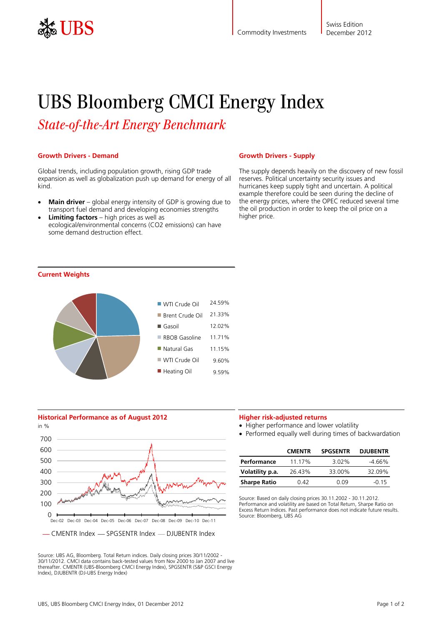

# UBS Bloomberg CMCI Energy Index

*State-of-the-Art Energy Benchmark* 

# **Growth Drivers - Demand**

Global trends, including population growth, rising GDP trade expansion as well as globalization push up demand for energy of all kind.

- **Main driver** global energy intensity of GDP is growing due to transport fuel demand and developing economies strengths
- **Limiting factors** high prices as well as ecological/environmental concerns (CO2 emissions) can have some demand destruction effect.

## **Growth Drivers - Supply**

The supply depends heavily on the discovery of new fossil reserves. Political uncertainty security issues and hurricanes keep supply tight and uncertain. A political example therefore could be seen during the decline of the energy prices, where the OPEC reduced several time the oil production in order to keep the oil price on a higher price.







Source: UBS AG, Bloomberg. Total Return indices. Daily closing prices 30/11/2002 - 30/11/2012. CMCI data contains back-tested values from Nov 2000 to Jan 2007 and live thereafter. CMENTR (UBS-Bloomberg CMCI Energy Index), SPGSENTR (S&P GSCI Energy Index), DJUBENTR (DJ-UBS Energy Index)

# **Higher risk-adjusted returns**

- Higher performance and lower volatility
- Performed equally well during times of backwardation

|                     | <b>CMENTR</b> | <b>SPGSENTR</b> | <b>DJUBENTR</b> |
|---------------------|---------------|-----------------|-----------------|
| Performance         | 11.17%        | $3.02\%$        | $-4.66%$        |
| Volatility p.a.     | 26.43%        | 33.00%          | 32.09%          |
| <b>Sharpe Ratio</b> | በ 42          | 0.09            | $-0.15$         |

Source: Based on daily closing prices 30.11.2002 - 30.11.2012. Performance and volatility are based on Total Return, Sharpe Ratio on Excess Return Indices. Past performance does not indicate future results. Source: Bloomberg, UBS AG